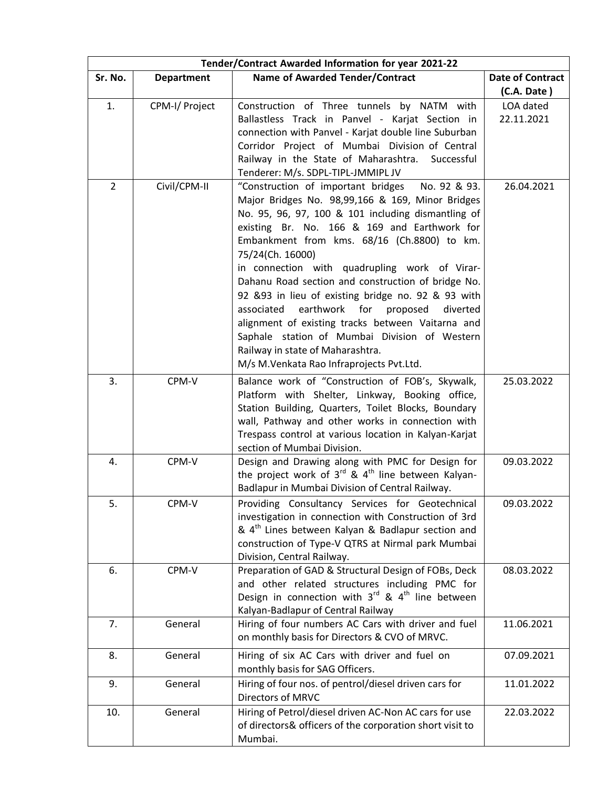| Tender/Contract Awarded Information for year 2021-22 |                   |                                                                                                                                                                                                                                                                                                                                                                                                                                                                                                                                                                                                                                                                                           |                         |  |  |
|------------------------------------------------------|-------------------|-------------------------------------------------------------------------------------------------------------------------------------------------------------------------------------------------------------------------------------------------------------------------------------------------------------------------------------------------------------------------------------------------------------------------------------------------------------------------------------------------------------------------------------------------------------------------------------------------------------------------------------------------------------------------------------------|-------------------------|--|--|
| Sr. No.                                              | <b>Department</b> | <b>Name of Awarded Tender/Contract</b>                                                                                                                                                                                                                                                                                                                                                                                                                                                                                                                                                                                                                                                    | <b>Date of Contract</b> |  |  |
|                                                      |                   |                                                                                                                                                                                                                                                                                                                                                                                                                                                                                                                                                                                                                                                                                           | (C.A. Date)             |  |  |
| 1.                                                   | CPM-I/ Project    | Construction of Three tunnels by NATM with<br>Ballastless Track in Panvel - Karjat Section in<br>connection with Panvel - Karjat double line Suburban<br>Corridor Project of Mumbai Division of Central<br>Railway in the State of Maharashtra.<br>Successful<br>Tenderer: M/s. SDPL-TIPL-JMMIPL JV                                                                                                                                                                                                                                                                                                                                                                                       | LOA dated<br>22.11.2021 |  |  |
| $\overline{2}$                                       | Civil/CPM-II      | "Construction of important bridges<br>No. 92 & 93.<br>Major Bridges No. 98,99,166 & 169, Minor Bridges<br>No. 95, 96, 97, 100 & 101 including dismantling of<br>existing Br. No. 166 & 169 and Earthwork for<br>Embankment from kms. 68/16 (Ch.8800) to km.<br>75/24(Ch. 16000)<br>in connection with quadrupling work of Virar-<br>Dahanu Road section and construction of bridge No.<br>92 & 93 in lieu of existing bridge no. 92 & 93 with<br>earthwork for proposed<br>associated<br>diverted<br>alignment of existing tracks between Vaitarna and<br>Saphale station of Mumbai Division of Western<br>Railway in state of Maharashtra.<br>M/s M. Venkata Rao Infraprojects Pvt. Ltd. | 26.04.2021              |  |  |
| 3.                                                   | CPM-V             | Balance work of "Construction of FOB's, Skywalk,<br>Platform with Shelter, Linkway, Booking office,<br>Station Building, Quarters, Toilet Blocks, Boundary<br>wall, Pathway and other works in connection with<br>Trespass control at various location in Kalyan-Karjat<br>section of Mumbai Division.                                                                                                                                                                                                                                                                                                                                                                                    | 25.03.2022              |  |  |
| 4.                                                   | CPM-V             | Design and Drawing along with PMC for Design for<br>the project work of $3^{rd}$ & 4 <sup>th</sup> line between Kalyan-<br>Badlapur in Mumbai Division of Central Railway.                                                                                                                                                                                                                                                                                                                                                                                                                                                                                                                | 09.03.2022              |  |  |
| 5.                                                   | CPM-V             | Providing Consultancy Services for Geotechnical<br>investigation in connection with Construction of 3rd<br>& 4 <sup>th</sup> Lines between Kalyan & Badlapur section and<br>construction of Type-V QTRS at Nirmal park Mumbai<br>Division, Central Railway.                                                                                                                                                                                                                                                                                                                                                                                                                               | 09.03.2022              |  |  |
| 6.                                                   | CPM-V             | Preparation of GAD & Structural Design of FOBs, Deck<br>and other related structures including PMC for<br>Design in connection with $3^{rd}$ & $4^{th}$ line between<br>Kalyan-Badlapur of Central Railway                                                                                                                                                                                                                                                                                                                                                                                                                                                                                | 08.03.2022              |  |  |
| 7.                                                   | General           | Hiring of four numbers AC Cars with driver and fuel<br>on monthly basis for Directors & CVO of MRVC.                                                                                                                                                                                                                                                                                                                                                                                                                                                                                                                                                                                      | 11.06.2021              |  |  |
| 8.                                                   | General           | Hiring of six AC Cars with driver and fuel on<br>monthly basis for SAG Officers.                                                                                                                                                                                                                                                                                                                                                                                                                                                                                                                                                                                                          | 07.09.2021              |  |  |
| 9.                                                   | General           | Hiring of four nos. of pentrol/diesel driven cars for<br>Directors of MRVC                                                                                                                                                                                                                                                                                                                                                                                                                                                                                                                                                                                                                | 11.01.2022              |  |  |
| 10.                                                  | General           | Hiring of Petrol/diesel driven AC-Non AC cars for use<br>of directors& officers of the corporation short visit to<br>Mumbai.                                                                                                                                                                                                                                                                                                                                                                                                                                                                                                                                                              | 22.03.2022              |  |  |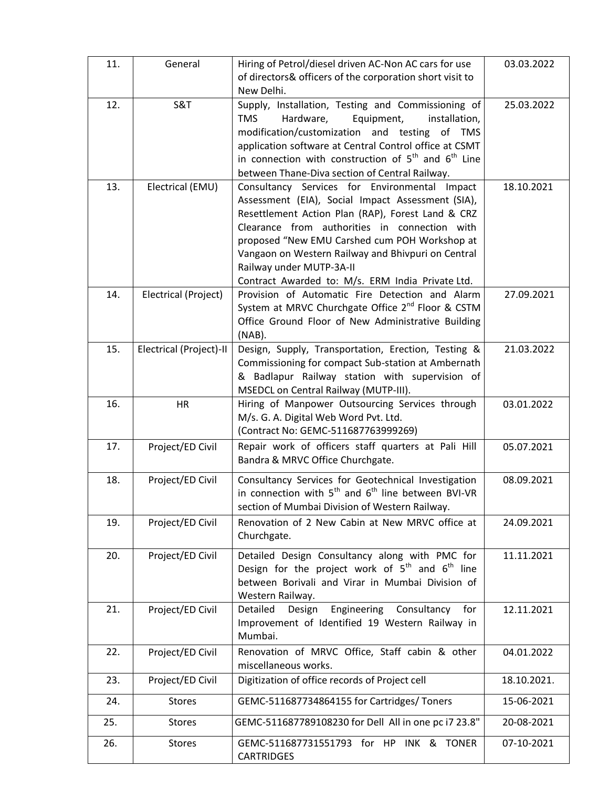| 11. | General                 | Hiring of Petrol/diesel driven AC-Non AC cars for use<br>of directors& officers of the corporation short visit to<br>New Delhi.                                                                                                                                                                                                                                                                 | 03.03.2022  |
|-----|-------------------------|-------------------------------------------------------------------------------------------------------------------------------------------------------------------------------------------------------------------------------------------------------------------------------------------------------------------------------------------------------------------------------------------------|-------------|
| 12. | <b>S&amp;T</b>          | Supply, Installation, Testing and Commissioning of<br><b>TMS</b><br>Hardware,<br>Equipment,<br>installation,<br>modification/customization and testing of TMS<br>application software at Central Control office at CSMT<br>in connection with construction of $5^{th}$ and $6^{th}$ Line<br>between Thane-Diva section of Central Railway.                                                      | 25.03.2022  |
| 13. | Electrical (EMU)        | Consultancy Services for Environmental Impact<br>Assessment (EIA), Social Impact Assessment (SIA),<br>Resettlement Action Plan (RAP), Forest Land & CRZ<br>Clearance from authorities in connection with<br>proposed "New EMU Carshed cum POH Workshop at<br>Vangaon on Western Railway and Bhivpuri on Central<br>Railway under MUTP-3A-II<br>Contract Awarded to: M/s. ERM India Private Ltd. | 18.10.2021  |
| 14. | Electrical (Project)    | Provision of Automatic Fire Detection and Alarm<br>System at MRVC Churchgate Office 2 <sup>nd</sup> Floor & CSTM<br>Office Ground Floor of New Administrative Building<br>$(NAB)$ .                                                                                                                                                                                                             | 27.09.2021  |
| 15. | Electrical (Project)-II | Design, Supply, Transportation, Erection, Testing &<br>Commissioning for compact Sub-station at Ambernath<br>& Badlapur Railway station with supervision of<br>MSEDCL on Central Railway (MUTP-III).                                                                                                                                                                                            | 21.03.2022  |
| 16. | <b>HR</b>               | Hiring of Manpower Outsourcing Services through<br>M/s. G. A. Digital Web Word Pvt. Ltd.<br>(Contract No: GEMC-511687763999269)                                                                                                                                                                                                                                                                 | 03.01.2022  |
| 17. | Project/ED Civil        | Repair work of officers staff quarters at Pali Hill<br>Bandra & MRVC Office Churchgate.                                                                                                                                                                                                                                                                                                         | 05.07.2021  |
| 18. | Project/ED Civil        | Consultancy Services for Geotechnical Investigation<br>in connection with $5^{th}$ and $6^{th}$ line between BVI-VR<br>section of Mumbai Division of Western Railway.                                                                                                                                                                                                                           | 08.09.2021  |
| 19. | Project/ED Civil        | Renovation of 2 New Cabin at New MRVC office at<br>Churchgate.                                                                                                                                                                                                                                                                                                                                  | 24.09.2021  |
| 20. | Project/ED Civil        | Detailed Design Consultancy along with PMC for<br>Design for the project work of $5th$ and $6th$ line<br>between Borivali and Virar in Mumbai Division of<br>Western Railway.                                                                                                                                                                                                                   | 11.11.2021  |
| 21. | Project/ED Civil        | Engineering<br>Detailed<br>Consultancy<br>Design<br>for<br>Improvement of Identified 19 Western Railway in<br>Mumbai.                                                                                                                                                                                                                                                                           | 12.11.2021  |
| 22. | Project/ED Civil        | Renovation of MRVC Office, Staff cabin & other<br>miscellaneous works.                                                                                                                                                                                                                                                                                                                          | 04.01.2022  |
| 23. | Project/ED Civil        | Digitization of office records of Project cell                                                                                                                                                                                                                                                                                                                                                  | 18.10.2021. |
| 24. | <b>Stores</b>           | GEMC-511687734864155 for Cartridges/ Toners                                                                                                                                                                                                                                                                                                                                                     | 15-06-2021  |
| 25. | <b>Stores</b>           | GEMC-511687789108230 for Dell All in one pc i7 23.8"                                                                                                                                                                                                                                                                                                                                            | 20-08-2021  |
| 26. | <b>Stores</b>           | GEMC-511687731551793 for HP INK & TONER<br><b>CARTRIDGES</b>                                                                                                                                                                                                                                                                                                                                    | 07-10-2021  |